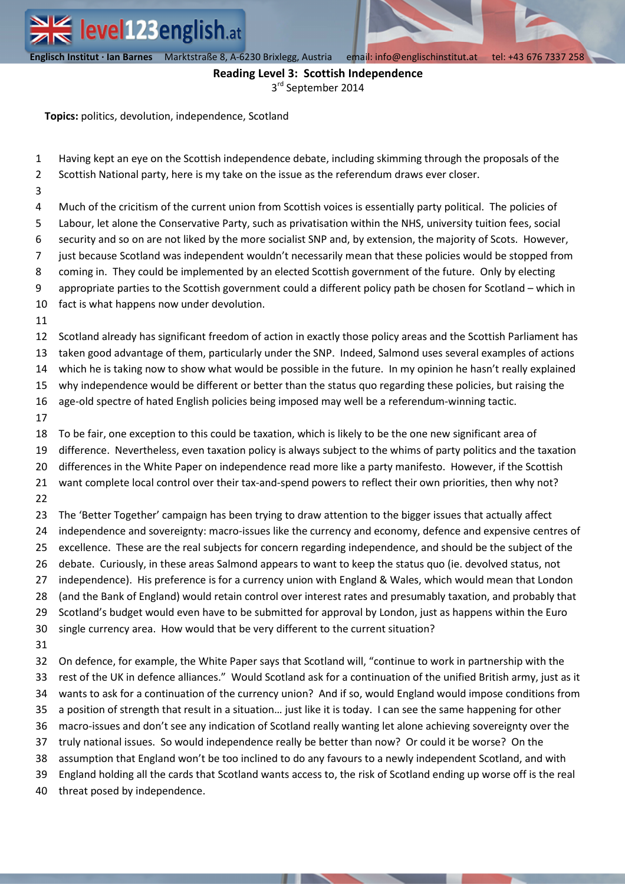**Englisch Institut · Ian Barnes** Marktstraße 8, A-6230 Brixlegg, Austria email: info@englischinstitut.at tel: +43 676 7337 258

## **Reading Level 3: Scottish Independence**

3<sup>rd</sup> September 2014

**Topics:** politics, devolution, independence, Scotland

- 1 2 Having kept an eye on the Scottish independence debate, including skimming through the proposals of the Scottish National party, here is my take on the issue as the referendum draws ever closer.
- 3

4 5 6 7 8 9 Much of the cricitism of the current union from Scottish voices is essentially party political. The policies of Labour, let alone the Conservative Party, such as privatisation within the NHS, university tuition fees, social security and so on are not liked by the more socialist SNP and, by extension, the majority of Scots. However, just because Scotland was independent wouldn't necessarily mean that these policies would be stopped from coming in. They could be implemented by an elected Scottish government of the future. Only by electing appropriate parties to the Scottish government could a different policy path be chosen for Scotland – which in

- 10 fact is what happens now under devolution.
- 11

12 13 Scotland already has significant freedom of action in exactly those policy areas and the Scottish Parliament has taken good advantage of them, particularly under the SNP. Indeed, Salmond uses several examples of actions

14 which he is taking now to show what would be possible in the future. In my opinion he hasn't really explained

15 why independence would be different or better than the status quo regarding these policies, but raising the

16 age-old spectre of hated English policies being imposed may well be a referendum-winning tactic.

17

18 To be fair, one exception to this could be taxation, which is likely to be the one new significant area of

19 difference. Nevertheless, even taxation policy is always subject to the whims of party politics and the taxation

20 differences in the White Paper on independence read more like a party manifesto. However, if the Scottish

21 22 want complete local control over their tax-and-spend powers to reflect their own priorities, then why not?

23 24 25 26 27 28 The 'Better Together' campaign has been trying to draw attention to the bigger issues that actually affect independence and sovereignty: macro-issues like the currency and economy, defence and expensive centres of excellence. These are the real subjects for concern regarding independence, and should be the subject of the debate. Curiously, in these areas Salmond appears to want to keep the status quo (ie. devolved status, not independence). His preference is for a currency union with England & Wales, which would mean that London (and the Bank of England) would retain control over interest rates and presumably taxation, and probably that

29 Scotland's budget would even have to be submitted for approval by London, just as happens within the Euro

- 30 single currency area. How would that be very different to the current situation?
- 31

32 33 34 35 36 37 38 39 40 On defence, for example, the White Paper says that Scotland will, "continue to work in partnership with the rest of the UK in defence alliances." Would Scotland ask for a continuation of the unified British army, just as it wants to ask for a continuation of the currency union? And if so, would England would impose conditions from a position of strength that result in a situation… just like it is today. I can see the same happening for other macro-issues and don't see any indication of Scotland really wanting let alone achieving sovereignty over the truly national issues. So would independence really be better than now? Or could it be worse? On the assumption that England won't be too inclined to do any favours to a newly independent Scotland, and with England holding all the cards that Scotland wants access to, the risk of Scotland ending up worse off is the real threat posed by independence.